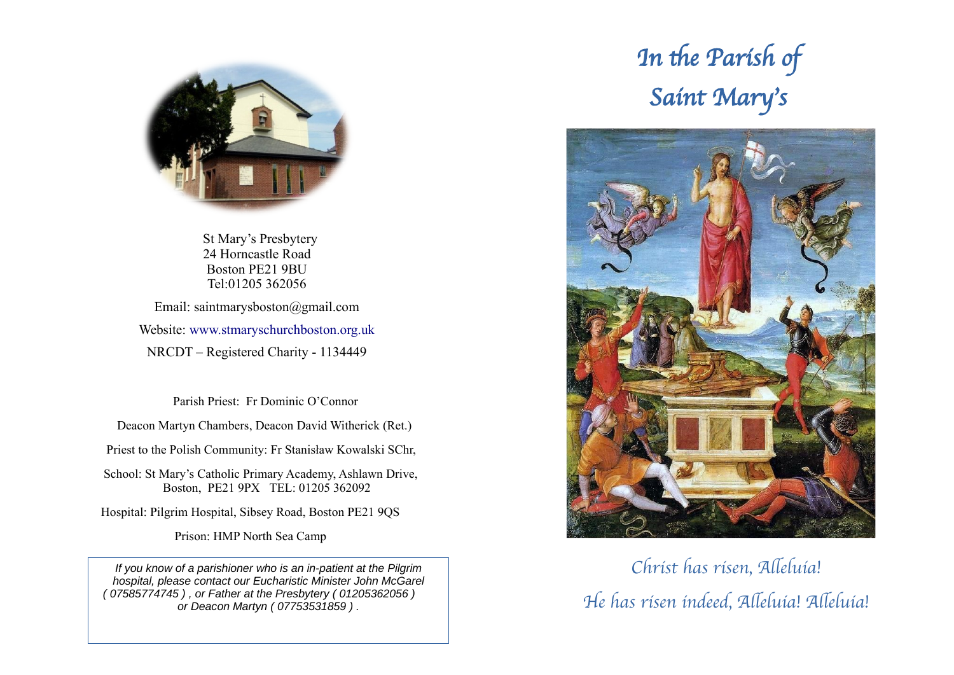

 St Mary's Presbytery 24 Horncastle Road Boston PE21 9BU Tel:01205 362056

Email: saintmarysboston@gmail.com Website: [www.stmaryschurchboston.org.uk](http://www.stmaryschurchboston.org.uk/) NRCDT – Registered Charity - 1134449

Parish Priest: Fr Dominic O'Connor

Deacon Martyn Chambers, Deacon David Witherick (Ret.)

Priest to the Polish Community: Fr Stanisław Kowalski SChr,

School: St Mary's Catholic Primary Academy, Ashlawn Drive, Boston, PE21 9PX TEL: 01205 362092

Hospital: Pilgrim Hospital, Sibsey Road, Boston PE21 9QS

Prison: HMP North Sea Camp

*If you know of a parishioner who is an in-patient at the Pilgrim hospital, please contact our Eucharistic Minister John McGarel ( 07585774745 ) , or Father at the Presbytery ( 01205362056 ) or Deacon Martyn ( 07753531859 ) .*

# In the Parish of Saint Mary's



## Christ has risen, Alleluia! He has risen indeed, Alleluia! Alleluia!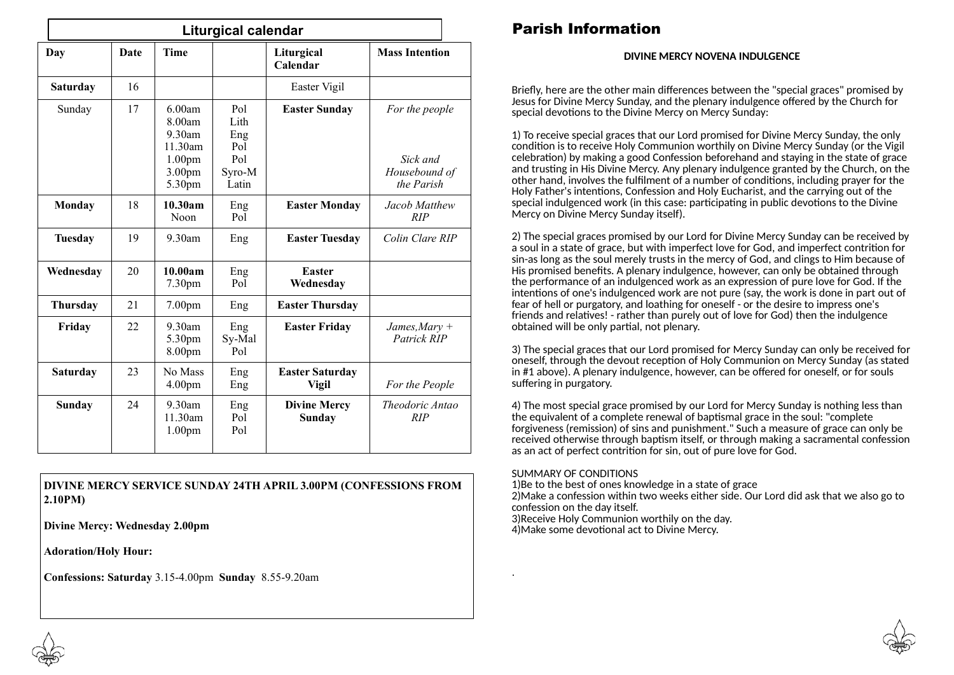| <b>Liturgical calendar</b> |      |                                                                                 |                                                     |                                        |                                                           |
|----------------------------|------|---------------------------------------------------------------------------------|-----------------------------------------------------|----------------------------------------|-----------------------------------------------------------|
| Day                        | Date | <b>Time</b>                                                                     |                                                     | Liturgical<br>Calendar                 | <b>Mass Intention</b>                                     |
| <b>Saturday</b>            | 16   |                                                                                 |                                                     | Easter Vigil                           |                                                           |
| Sunday                     | 17   | 6.00am<br>8.00am<br>9.30am<br>11.30am<br>1.00 <sub>pm</sub><br>3.00pm<br>5.30pm | Pol<br>Lith<br>Eng<br>Pol<br>Pol<br>Syro-M<br>Latin | <b>Easter Sunday</b>                   | For the people<br>Sick and<br>Housebound of<br>the Parish |
| Monday                     | 18   | 10.30am<br>Noon                                                                 | Eng<br>Pol                                          | <b>Easter Monday</b>                   | Jacob Matthew<br>RIP                                      |
| <b>Tuesday</b>             | 19   | 9.30am                                                                          | Eng                                                 | <b>Easter Tuesday</b>                  | Colin Clare RIP                                           |
| Wednesday                  | 20   | 10.00am<br>7.30 <sub>pm</sub>                                                   | Eng<br>Pol                                          | <b>Easter</b><br>Wednesday             |                                                           |
| <b>Thursday</b>            | 21   | 7.00pm                                                                          | Eng                                                 | <b>Easter Thursday</b>                 |                                                           |
| Friday                     | 22   | 9.30am<br>5.30pm<br>8.00pm                                                      | Eng<br>Sy-Mal<br>Pol                                | <b>Easter Friday</b>                   | James, Mary $+$<br>Patrick RIP                            |
| <b>Saturday</b>            | 23   | No Mass<br>4.00 <sub>pm</sub>                                                   | Eng<br>Eng                                          | <b>Easter Saturday</b><br><b>Vigil</b> | For the People                                            |
| <b>Sunday</b>              | 24   | 9.30am<br>11.30am<br>1.00 <sub>pm</sub>                                         | Eng<br>Pol<br>Pol                                   | <b>Divine Mercy</b><br>Sunday          | Theodoric Antao<br>RIP                                    |

#### **DIVINE MERCY SERVICE SUNDAY 24TH APRIL 3.00PM (CONFESSIONS FROM 2.10PM)**

**Divine Mercy: Wednesday 2.00pm**

**Adoration/Holy Hour:**

**Confessions: Saturday** 3.15-4.00pm **Sunday** 8.55-9.20am

## Parish Information

#### **DIVINE MERCY NOVENA INDULGENCE**

Briefly, here are the other main differences between the "special graces" promised by Jesus for Divine Mercy Sunday, and the plenary indulgence offered by the Church for special devotions to the Divine Mercy on Mercy Sunday:

1) To receive special graces that our Lord promised for Divine Mercy Sunday, the only condition is to receive Holy Communion worthily on Divine Mercy Sunday (or the Vigil celebration) by making a good [Confession beforehand](https://www.thedivinemercy.org/celebrate/greatgrace/faqanswers10) and staying in the state of grace and trusting in His Divine Mercy. Any plenary indulgence granted by the Church, on the other hand, involves the fulfilment of a number of conditions, including prayer for the Holy Father's intentions, Confession and Holy Eucharist, and the carrying out of the special indulgenced work (in this case: participating in public devotions to the Divine Mercy on Divine Mercy Sunday itself).

2) The special graces promised by our Lord for Divine Mercy Sunday can be received by a soul in a state of grace, but with imperfect love for God, and imperfect contrition for sin-as long as the soul merely trusts in the mercy of God, and clings to Him because of His promised benefits. A plenary indulgence, however, can only be obtained through the performance of an indulgenced work as an expression of pure love for God. If the intentions of one's indulgenced work are not pure (say, the work is done in part out of fear of hell or purgatory, and loathing for oneself - or the desire to impress one's friends and relatives! - rather than purely out of love for God) then the indulgence obtained will be only partial, not plenary.

3) The special graces that our Lord promised for Mercy Sunday can only be received for oneself, through the devout reception of Holy Communion on Mercy Sunday (as stated in #1 above). A plenary indulgence, however, can be offered for oneself, or for souls suffering in purgatory.

4) The most special grace promised by our Lord for Mercy Sunday is nothing less than the equivalent of a complete renewal of baptismal grace in the soul: "complete forgiveness (remission) of sins and punishment." Such a measure of grace can only be received otherwise through baptism itself, or through making a sacramental confession as an act of perfect contrition for sin, out of pure love for God.

#### SUMMARY OF CONDITIONS

.

1)Be to the best of ones knowledge in a state of grace 2)Make a confession within two weeks either side. Our Lord did ask that we also go to confession on the day itself.

3)Receive Holy Communion worthily on the day.

4)Make some devotional act to Divine Mercy.

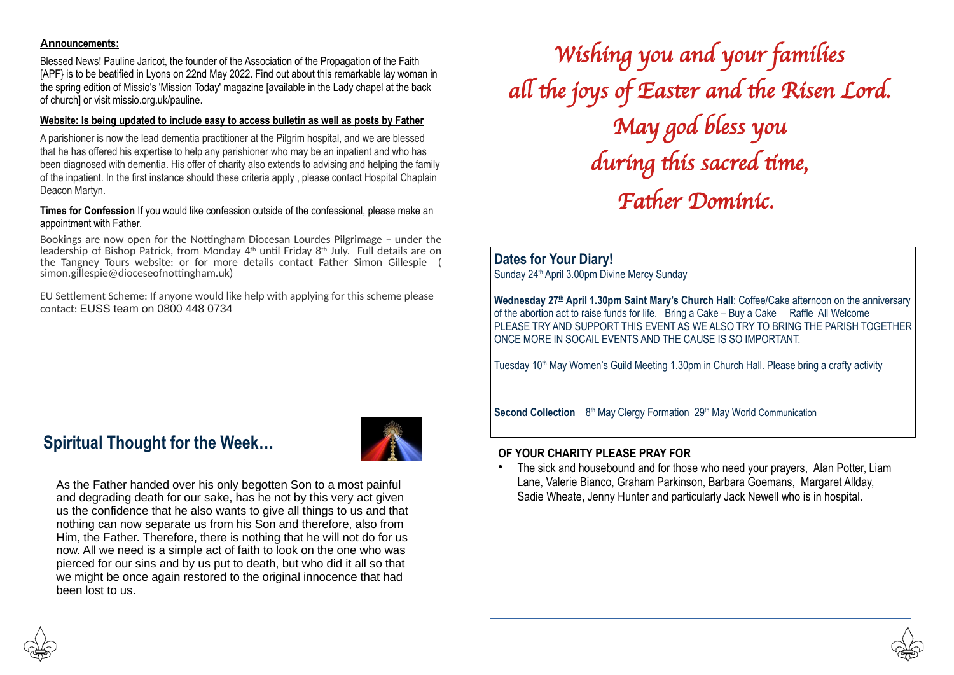#### **Announcements:**

Blessed News! Pauline Jaricot, the founder of the Association of the Propagation of the Faith [APF} is to be beatified in Lyons on 22nd May 2022. Find out about this remarkable lay woman in the spring edition of Missio's 'Mission Today' magazine [available in the Lady chapel at the back of church] or visit [missio.org.uk/pauline](http://missio.org.uk/pauline).

#### **Website: Is being updated to include easy to access bulletin as well as posts by Father**

A parishioner is now the lead dementia practitioner at the Pilgrim hospital, and we are blessed that he has offered his expertise to help any parishioner who may be an inpatient and who has been diagnosed with dementia. His offer of charity also extends to advising and helping the family of the inpatient. In the first instance should these criteria apply , please contact Hospital Chaplain Deacon Martyn.

#### **Times for Confession** If you would like confession outside of the confessional, please make an appointment with Father.

Bookings are now open for the Nottingham Diocesan Lourdes Pilgrimage – under the leadership of Bishop Patrick, from Monday  $4<sup>th</sup>$  until Friday  $8<sup>th</sup>$  July. Full details are on the Tangney Tours website: or for more details contact Father Simon Gillespie ( [simon.gillespie@dioceseofnottingham.uk\)](mailto:simon.gillespie@dioceseofnottingham.uk)

EU Settlement Scheme: If anyone would like help with applying for this scheme please contact: EUSS team on 0800 448 0734

Wishing you and your families all the joys of Easter and the Risen Lord. May god bless you during this sacred time, Father Dominic.

**Dates for Your Diary!** Sunday 24<sup>th</sup> April 3.00pm Divine Mercy Sunday

**Wednesday 27th April 1.30pm Saint Mary's Church Hall**: Coffee/Cake afternoon on the anniversary of the abortion act to raise funds for life. Bring a Cake – Buy a Cake Raffle All Welcome PLEASE TRY AND SUPPORT THIS EVENT AS WE ALSO TRY TO BRING THE PARISH TOGETHER ONCE MORE IN SOCAIL EVENTS AND THE CAUSE IS SO IMPORTANT.

Tuesday 10<sup>th</sup> May Women's Guild Meeting 1.30pm in Church Hall. Please bring a crafty activity

**Second Collection** 8<sup>th</sup> May Clergy Formation 29<sup>th</sup> May World Communication

## **Spiritual Thought for the Week…**



As the Father handed over his only begotten Son to a most painful and degrading death for our sake, has he not by this very act given us the confidence that he also wants to give all things to us and that nothing can now separate us from his Son and therefore, also from Him, the Father. Therefore, there is nothing that he will not do for us now. All we need is a simple act of faith to look on the one who was pierced for our sins and by us put to death, but who did it all so that we might be once again restored to the original innocence that had been lost to us.

#### **OF YOUR CHARITY PLEASE PRAY FOR**

The sick and housebound and for those who need your prayers, Alan Potter, Liam Lane, Valerie Bianco, Graham Parkinson, Barbara Goemans, Margaret Allday, Sadie Wheate, Jenny Hunter and particularly Jack Newell who is in hospital.